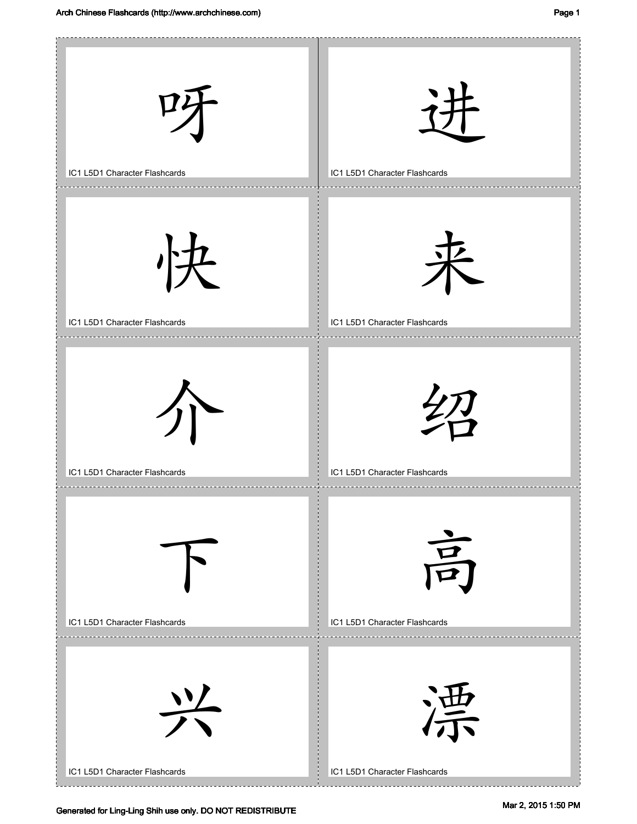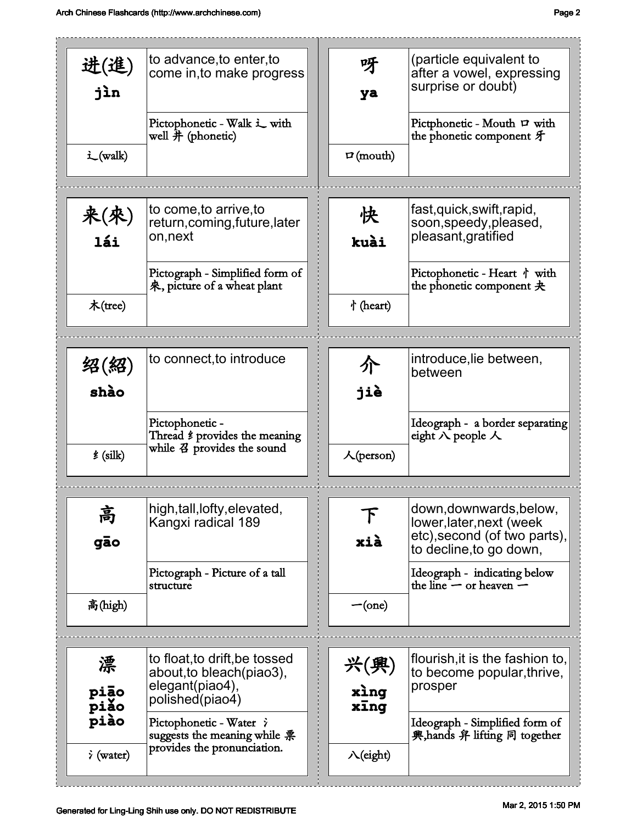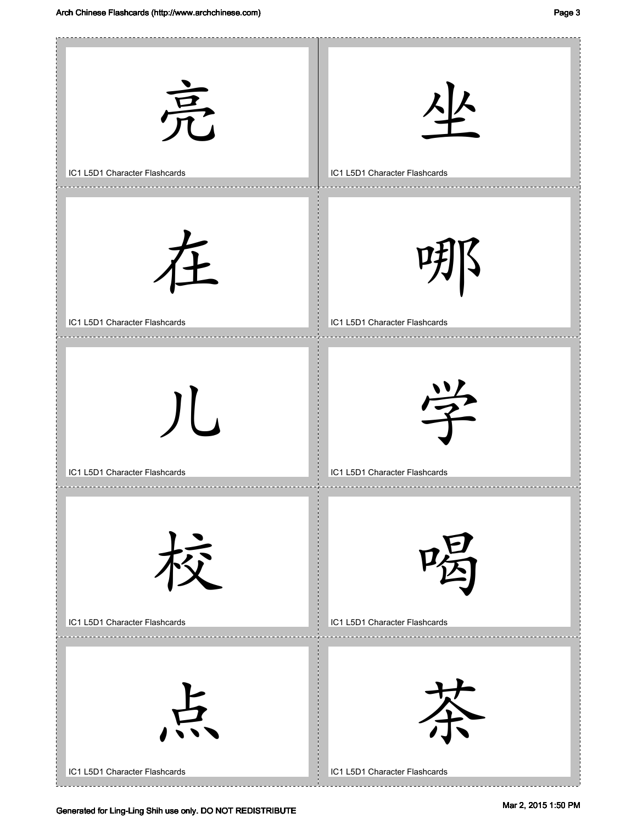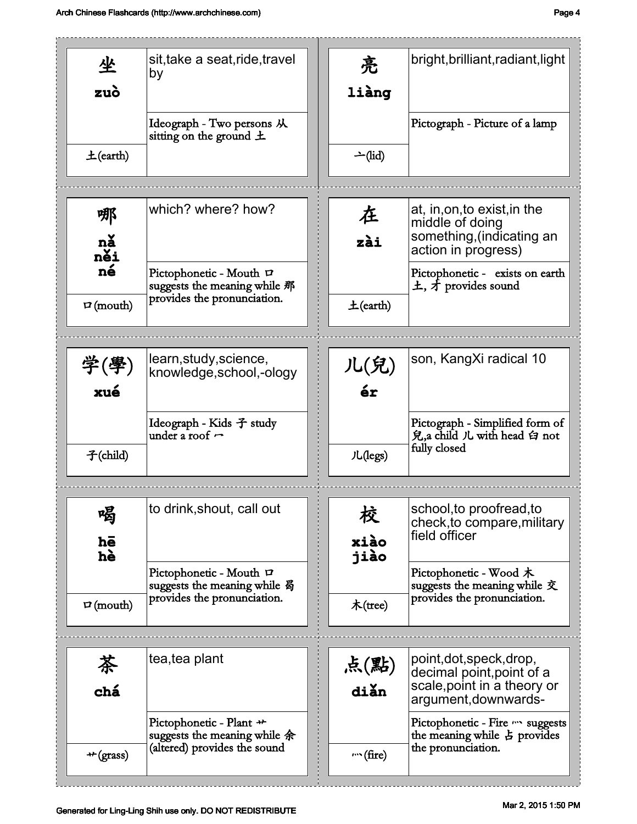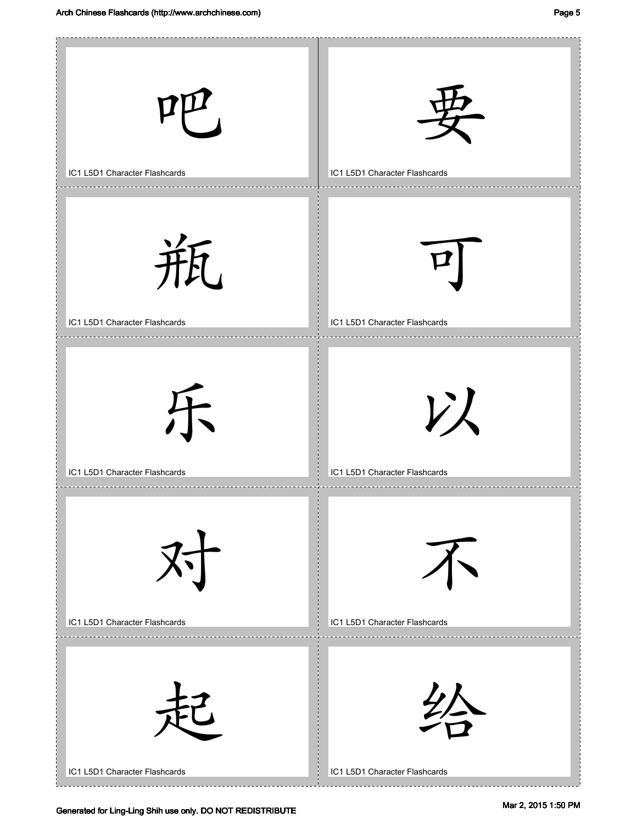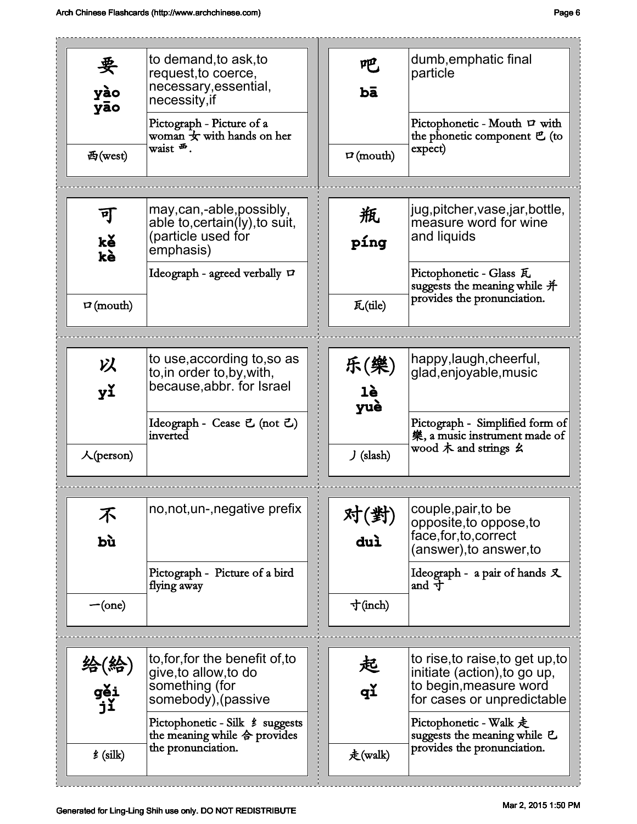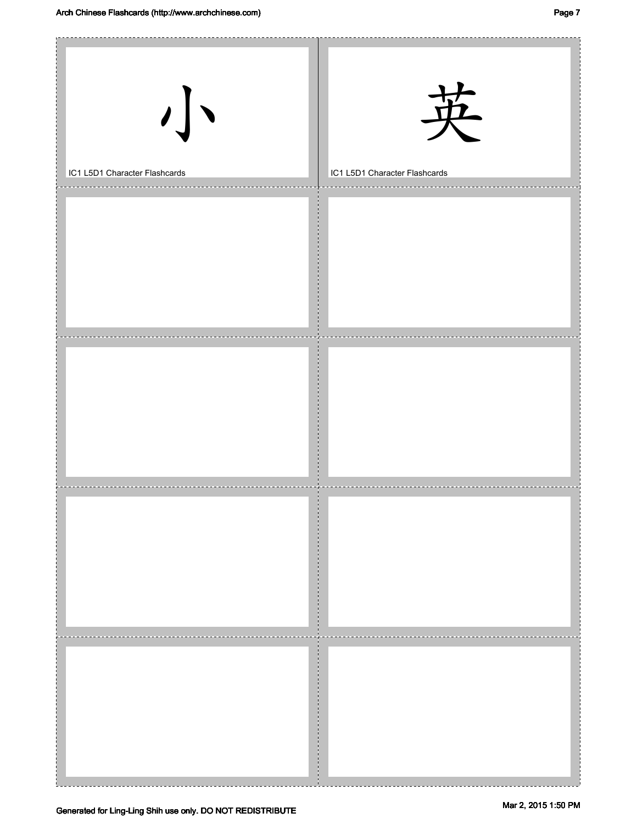